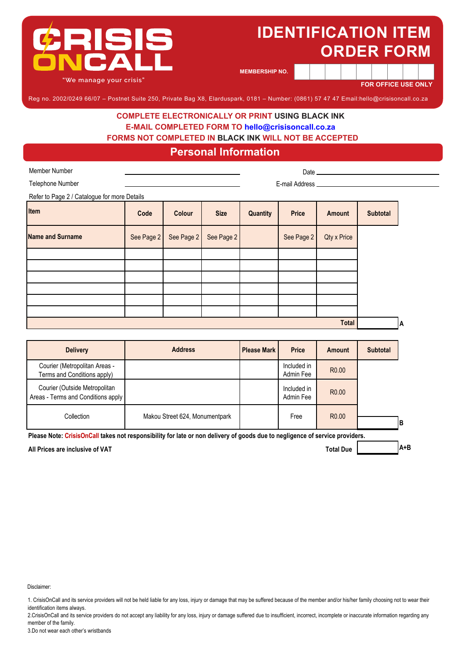

**MEMBERSHIP NO.**

**FOR OFFICE USE ONLY**

Reg no. 2002/0249 66/07 – Postnet Suite 250, Private Bag X8, Elarduspark, 0181 – Number: (0861) 57 47 47 Email:hello@crisisoncall.co.za

#### **COMPLETE ELECTRONICALLY OR PRINT USING BLACK INK E-MAIL COMPLETED FORM TO hello@crisisoncall.co.za FORMS NOT COMPLETED IN BLACK INK WILL NOT BE ACCEPTED**

### **Personal Information**

| <b>Member Number</b>                         |                |            |                    |              |                               |                 |                 |  |
|----------------------------------------------|----------------|------------|--------------------|--------------|-------------------------------|-----------------|-----------------|--|
| Telephone Number                             |                |            |                    |              | E-mail Address ______________ |                 |                 |  |
| Refer to Page 2 / Catalogue for more Details |                |            |                    |              |                               |                 |                 |  |
| Item                                         | Code           | Colour     | <b>Size</b>        | Quantity     | <b>Price</b>                  | Amount          | <b>Subtotal</b> |  |
| <b>Name and Surname</b>                      | See Page 2     | See Page 2 | See Page 2         |              | See Page 2                    | Qty x Price     |                 |  |
|                                              |                |            |                    |              |                               |                 |                 |  |
|                                              |                |            |                    |              |                               |                 |                 |  |
|                                              |                |            |                    |              |                               |                 |                 |  |
|                                              |                |            |                    |              |                               |                 |                 |  |
|                                              |                |            |                    |              |                               |                 |                 |  |
|                                              |                |            |                    |              |                               |                 |                 |  |
| <b>Total</b>                                 |                |            |                    |              |                               |                 | A               |  |
|                                              |                |            |                    |              |                               |                 |                 |  |
| <b>Delivery</b>                              | <b>Address</b> |            | <b>Please Mark</b> | <b>Price</b> | Amount                        | <b>Subtotal</b> |                 |  |

| <b>Delivery</b>                                                     | <b>Address</b>                 | <b>Please Mark</b> | <b>Price</b>             | <b>Amount</b>     | <b>Subtotal</b> |
|---------------------------------------------------------------------|--------------------------------|--------------------|--------------------------|-------------------|-----------------|
| Courier (Metropolitan Areas -<br>Terms and Conditions apply)        |                                |                    | Included in<br>Admin Fee | R <sub>0.00</sub> |                 |
| Courier (Outside Metropolitan<br>Areas - Terms and Conditions apply |                                |                    | Included in<br>Admin Fee | R <sub>0.00</sub> |                 |
| Collection                                                          | Makou Street 624, Monumentpark |                    | Free                     | R <sub>0.00</sub> | IB              |

**Please Note: CrisisOnCall takes not responsibility for late or non delivery of goods due to negligence of service providers.**

**All Prices are inclusive of VAT Total Due**

**A+B**

Disclaimer:

1. CrisisOnCall and its service providers will not be held liable for any loss, injury or damage that may be suffered because of the member and/or his/her family choosing not to wear their identification items always.

2.CrisisOnCall and its service providers do not accept any liability for any loss, injury or damage suffered due to insufficient, incorrect, incomplete or inaccurate information regarding any member of the family.

3.Do not wear each other's wristbands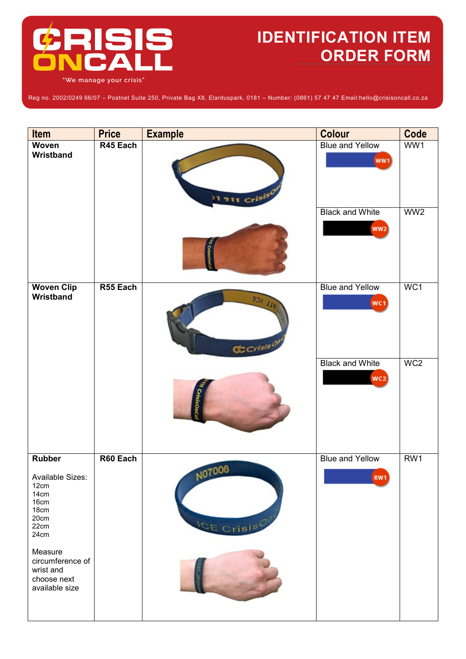

Reg no. 2002/0249 66/07 – Postnet Suite 250, Private Bag X8, Elarduspark, 0181 – Number: (0861) 57 47 47 Email:hello@crisisoncall.co.za

| <b>Item</b>                                                                               | <b>Price</b> | <b>Example</b>                     | <b>Colour</b>                             | Code            |
|-------------------------------------------------------------------------------------------|--------------|------------------------------------|-------------------------------------------|-----------------|
| Woven<br>Wristband                                                                        | R45 Each     | $1911$ Crisis                      | <b>Blue and Yellow</b><br>WW1             | WW1             |
|                                                                                           |              |                                    | <b>Black and White</b><br>ww <sub>2</sub> | WW <sub>2</sub> |
| <b>Woven Clip</b><br>Wristband                                                            | R55 Each     | 301118<br>$$Ccrisis$ <sup>of</sup> | <b>Blue and Yellow</b><br>WC <sub>1</sub> | WC1             |
|                                                                                           |              |                                    | <b>Black and White</b><br>WC2             | WC <sub>2</sub> |
| <b>Rubber</b><br>Available Sizes:<br>12cm<br>14cm<br>16cm<br>18cm<br>20cm<br>22cm<br>24cm | R60 Each     | NO7006<br>ICE Crisis <sup>0</sup>  | <b>Blue and Yellow</b><br>RW1             | RW <sub>1</sub> |
| Measure<br>circumference of<br>wrist and<br>choose next<br>available size                 |              |                                    |                                           |                 |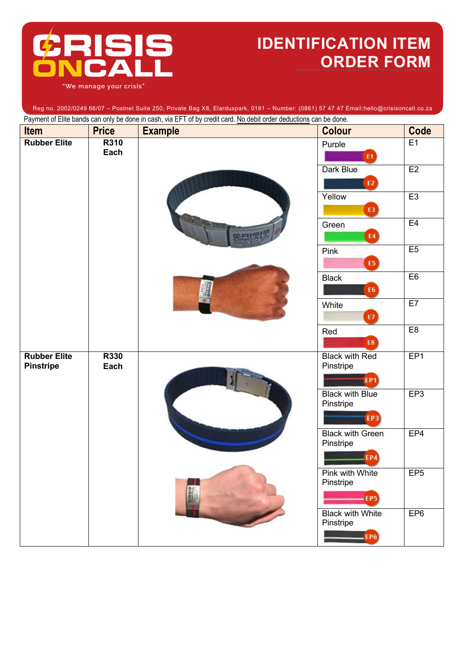

Payment of Elite bands can only be done in cash, via EFT of by credit card. No debit order deductions can be done. Reg no. 2002/0249 66/07 – Postnet Suite 250, Private Bag X8, Elarduspark, 0181 – Number: (0861) 57 47 47 Email:hello@crisisoncall.co.za

| Item                                    | <b>Price</b> | I agrifult of Ellio barras can only be done in cash, wa Ell T or by create card. <u>No dobit order deductions</u> can be done.<br><b>Example</b> | <b>Colour</b>                                      | Code            |
|-----------------------------------------|--------------|--------------------------------------------------------------------------------------------------------------------------------------------------|----------------------------------------------------|-----------------|
| <b>Rubber Elite</b>                     | R310<br>Each |                                                                                                                                                  | Purple<br>E1                                       | E1              |
|                                         |              |                                                                                                                                                  | <b>Dark Blue</b><br>E2                             | E2              |
|                                         |              |                                                                                                                                                  | Yellow<br>E3                                       | E3              |
|                                         |              |                                                                                                                                                  | Green<br>E <sub>4</sub>                            | E4              |
|                                         |              |                                                                                                                                                  | Pink<br>E5                                         | E5              |
|                                         |              |                                                                                                                                                  | <b>Black</b><br>E6                                 | E6              |
|                                         |              |                                                                                                                                                  | White<br>E7                                        | E7              |
|                                         |              |                                                                                                                                                  | Red<br>E8                                          | E8              |
| <b>Rubber Elite</b><br><b>Pinstripe</b> | Each         | R330                                                                                                                                             | <b>Black with Red</b><br>Pinstripe<br><b>EP1</b>   | EP <sub>1</sub> |
|                                         |              |                                                                                                                                                  | <b>Black with Blue</b><br>Pinstripe<br><b>EP3</b>  | EP3             |
|                                         |              |                                                                                                                                                  | <b>Black with Green</b><br>Pinstripe<br>EP4        | EP4             |
|                                         |              |                                                                                                                                                  | Pink with White<br>Pinstripe<br>– EP5)             | EP <sub>5</sub> |
|                                         |              |                                                                                                                                                  | <b>Black with White</b><br>Pinstripe<br><b>EP6</b> | EP <sub>6</sub> |